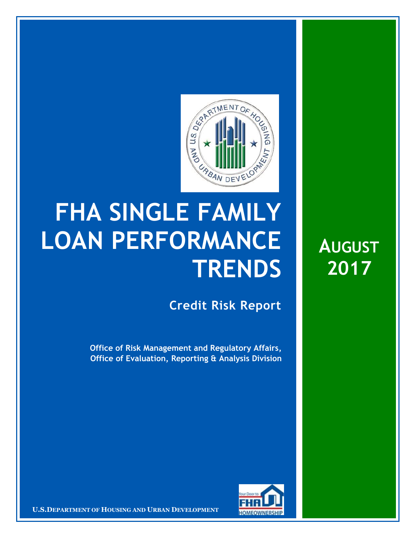

## **FHA SINGLE FAMILY LOAN PERFORMANCE TRENDS**

**Credit Risk Report**

**Office of Risk Management and Regulatory Affairs, Office of Evaluation, Reporting & Analysis Division**



**U.S.DEPARTMENT OF HOUSING AND URBAN DEVELOPMENT** 

**AUGUST 2017**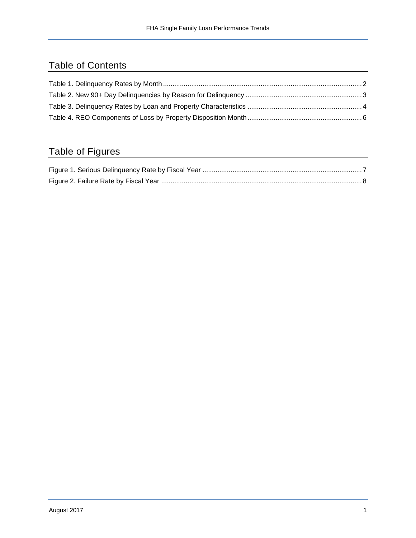## Table of Contents

## Table of Figures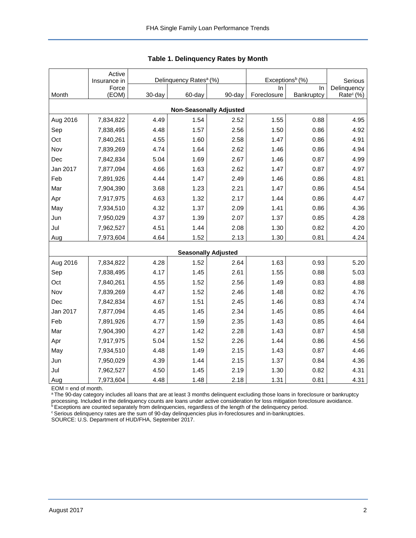<span id="page-2-0"></span>

|                                | Active<br>Insurance in |        | Delinquency Rates <sup>a</sup> (%) |                            | Exceptions <sup>b</sup> (%) | Serious    |                       |  |  |  |  |  |
|--------------------------------|------------------------|--------|------------------------------------|----------------------------|-----------------------------|------------|-----------------------|--|--|--|--|--|
|                                | Force                  |        |                                    |                            | ln.                         | In.        | Delinquency           |  |  |  |  |  |
| Month                          | (EOM)                  | 30-day | 60-day                             | 90-day                     | Foreclosure                 | Bankruptcy | Rate <sup>c</sup> (%) |  |  |  |  |  |
| <b>Non-Seasonally Adjusted</b> |                        |        |                                    |                            |                             |            |                       |  |  |  |  |  |
| Aug 2016                       | 7,834,822              | 4.49   | 1.54                               | 2.52                       | 1.55                        | 0.88       | 4.95                  |  |  |  |  |  |
| Sep                            | 7,838,495              | 4.48   | 1.57                               | 2.56                       | 1.50                        | 0.86       | 4.92                  |  |  |  |  |  |
| Oct                            | 7,840,261              | 4.55   | 1.60                               | 2.58                       | 1.47                        | 0.86       | 4.91                  |  |  |  |  |  |
| Nov                            | 7,839,269              | 4.74   | 1.64                               | 2.62                       | 1.46                        | 0.86       | 4.94                  |  |  |  |  |  |
| Dec                            | 7,842,834              | 5.04   | 1.69                               | 2.67                       | 1.46                        | 0.87       | 4.99                  |  |  |  |  |  |
| Jan 2017                       | 7,877,094              | 4.66   | 1.63                               | 2.62                       | 1.47                        | 0.87       | 4.97                  |  |  |  |  |  |
| Feb                            | 7,891,926              | 4.44   | 1.47                               | 2.49                       | 1.46                        | 0.86       | 4.81                  |  |  |  |  |  |
| Mar                            | 7,904,390              | 3.68   | 1.23                               | 2.21                       | 1.47                        | 0.86       | 4.54                  |  |  |  |  |  |
| Apr                            | 7,917,975              | 4.63   | 1.32                               | 2.17                       | 1.44                        | 0.86       | 4.47                  |  |  |  |  |  |
| May                            | 7,934,510              | 4.32   | 1.37                               | 2.09                       | 1.41                        | 0.86       | 4.36                  |  |  |  |  |  |
| Jun                            | 7,950,029              | 4.37   | 1.39                               | 2.07                       | 1.37                        | 0.85       | 4.28                  |  |  |  |  |  |
| Jul                            | 7,962,527              | 4.51   | 1.44                               | 2.08                       | 1.30                        | 0.82       | 4.20                  |  |  |  |  |  |
| Aug                            | 7,973,604              | 4.64   | 1.52                               | 2.13                       | 1.30                        | 0.81       | 4.24                  |  |  |  |  |  |
|                                |                        |        |                                    | <b>Seasonally Adjusted</b> |                             |            |                       |  |  |  |  |  |
| Aug 2016                       | 7,834,822              | 4.28   | 1.52                               | 2.64                       | 1.63                        | 0.93       | 5.20                  |  |  |  |  |  |
| Sep                            | 7,838,495              | 4.17   | 1.45                               | 2.61                       | 1.55                        | 0.88       | 5.03                  |  |  |  |  |  |
| Oct                            | 7,840,261              | 4.55   | 1.52                               | 2.56                       | 1.49                        | 0.83       | 4.88                  |  |  |  |  |  |
| Nov                            | 7,839,269              | 4.47   | 1.52                               | 2.46                       | 1.48                        | 0.82       | 4.76                  |  |  |  |  |  |
| Dec                            | 7,842,834              | 4.67   | 1.51                               | 2.45                       | 1.46                        | 0.83       | 4.74                  |  |  |  |  |  |
| Jan 2017                       | 7,877,094              | 4.45   | 1.45                               | 2.34                       | 1.45                        | 0.85       | 4.64                  |  |  |  |  |  |
| Feb                            | 7,891,926              | 4.77   | 1.59                               | 2.35                       | 1.43                        | 0.85       | 4.64                  |  |  |  |  |  |
| Mar                            | 7,904,390              | 4.27   | 1.42                               | 2.28                       | 1.43                        | 0.87       | 4.58                  |  |  |  |  |  |
| Apr                            | 7,917,975              | 5.04   | 1.52                               | 2.26                       | 1.44                        | 0.86       | 4.56                  |  |  |  |  |  |
| May                            | 7,934,510              | 4.48   | 1.49                               | 2.15                       | 1.43                        | 0.87       | 4.46                  |  |  |  |  |  |
| Jun                            | 7,950,029              | 4.39   | 1.44                               | 2.15                       | 1.37                        | 0.84       | 4.36                  |  |  |  |  |  |
| Jul                            | 7,962,527              | 4.50   | 1.45                               | 2.19                       | 1.30                        | 0.82       | 4.31                  |  |  |  |  |  |
| Aug                            | 7,973,604              | 4.48   | 1.48                               | 2.18                       | 1.31                        | 0.81       | 4.31                  |  |  |  |  |  |

**Table 1. Delinquency Rates by Month**

EOM = end of month.

a The 90-day category includes all loans that are at least 3 months delinquent excluding those loans in foreclosure or bankruptcy processing. Included in the delinquency counts are loans under active consideration for loss mitigation foreclosure avoidance.

**bExceptions are counted separately from delinquencies, regardless of the length of the delinquency period.** 

<sup>c</sup> Serious delinquency rates are the sum of 90-day delinquencies plus in-foreclosures and in-bankruptcies.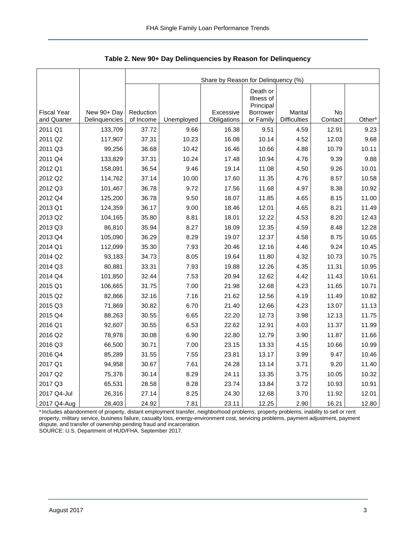|                    |               | Share by Reason for Delinquency (%) |            |             |                                                 |                     |         |                    |  |  |  |
|--------------------|---------------|-------------------------------------|------------|-------------|-------------------------------------------------|---------------------|---------|--------------------|--|--|--|
| <b>Fiscal Year</b> | New 90+ Day   | Reduction                           |            | Excessive   | Death or<br>Illness of<br>Principal<br>Borrower | Marital             | No      |                    |  |  |  |
| and Quarter        | Delinquencies | of Income                           | Unemployed | Obligations | or Family                                       | <b>Difficulties</b> | Contact | Other <sup>a</sup> |  |  |  |
| 2011 Q1            | 133,709       | 37.72                               | 9.66       | 16.38       | 9.51                                            | 4.59                | 12.91   | 9.23               |  |  |  |
| 2011 Q2            | 117,907       | 37.31                               | 10.23      | 16.08       | 10.14                                           | 4.52                | 12.03   | 9.68               |  |  |  |
| 2011 Q3            | 99,256        | 36.68                               | 10.42      | 16.46       | 10.66                                           | 4.88                | 10.79   | 10.11              |  |  |  |
| 2011 Q4            | 133,829       | 37.31                               | 10.24      | 17.48       | 10.94                                           | 4.76                | 9.39    | 9.88               |  |  |  |
| 2012 Q1            | 158,091       | 36.54                               | 9.46       | 19.14       | 11.08                                           | 4.50                | 9.26    | 10.01              |  |  |  |
| 2012 Q2            | 114,762       | 37.14                               | 10.00      | 17.60       | 11.35                                           | 4.76                | 8.57    | 10.58              |  |  |  |
| 2012 Q3            | 101,467       | 36.78                               | 9.72       | 17.56       | 11.68                                           | 4.97                | 8.38    | 10.92              |  |  |  |
| 2012 Q4            | 125,200       | 36.78                               | 9.50       | 18.07       | 11.85                                           | 4.65                | 8.15    | 11.00              |  |  |  |
| 2013 Q1            | 124,359       | 36.17                               | 9.00       | 18.46       | 12.01                                           | 4.65                | 8.21    | 11.49              |  |  |  |
| 2013 Q2            | 104,165       | 35.80                               | 8.81       | 18.01       | 12.22                                           | 4.53                | 8.20    | 12.43              |  |  |  |
| 2013 Q3            | 86,810        | 35.94                               | 8.27       | 18.09       | 12.35                                           | 4.59                | 8.48    | 12.28              |  |  |  |
| 2013 Q4            | 105,090       | 36.29                               | 8.29       | 19.07       | 12.37                                           | 4.58                | 8.75    | 10.65              |  |  |  |
| 2014 Q1            | 112,099       | 35.30                               | 7.93       | 20.46       | 12.16                                           | 4.46                | 9.24    | 10.45              |  |  |  |
| 2014 Q2            | 93,183        | 34.73                               | 8.05       | 19.64       | 11.80                                           | 4.32                | 10.73   | 10.75              |  |  |  |
| 2014 Q3            | 80,881        | 33.31                               | 7.93       | 19.88       | 12.26                                           | 4.35                | 11.31   | 10.95              |  |  |  |
| 2014 Q4            | 101,850       | 32.44                               | 7.53       | 20.94       | 12.62                                           | 4.42                | 11.43   | 10.61              |  |  |  |
| 2015 Q1            | 106,665       | 31.75                               | 7.00       | 21.98       | 12.68                                           | 4.23                | 11.65   | 10.71              |  |  |  |
| 2015 Q2            | 82,866        | 32.16                               | 7.16       | 21.62       | 12.56                                           | 4.19                | 11.49   | 10.82              |  |  |  |
| 2015 Q3            | 71,869        | 30.82                               | 6.70       | 21.40       | 12.66                                           | 4.23                | 13.07   | 11.13              |  |  |  |
| 2015 Q4            | 88,263        | 30.55                               | 6.65       | 22.20       | 12.73                                           | 3.98                | 12.13   | 11.75              |  |  |  |
| 2016 Q1            | 92,607        | 30.55                               | 6.53       | 22.62       | 12.91                                           | 4.03                | 11.37   | 11.99              |  |  |  |
| 2016 Q2            | 78,978        | 30.08                               | 6.90       | 22.80       | 12.79                                           | 3.90                | 11.87   | 11.66              |  |  |  |
| 2016 Q3            | 66,500        | 30.71                               | 7.00       | 23.15       | 13.33                                           | 4.15                | 10.66   | 10.99              |  |  |  |
| 2016 Q4            | 85,289        | 31.55                               | 7.55       | 23.81       | 13.17                                           | 3.99                | 9.47    | 10.46              |  |  |  |
| 2017 Q1            | 94,958        | 30.67                               | 7.61       | 24.28       | 13.14                                           | 3.71                | 9.20    | 11.40              |  |  |  |
| 2017 Q2            | 75,376        | 30.14                               | 8.29       | 24.11       | 13.35                                           | 3.75                | 10.05   | 10.32              |  |  |  |
| 2017 Q3            | 65,531        | 28.58                               | 8.28       | 23.74       | 13.84                                           | 3.72                | 10.93   | 10.91              |  |  |  |
| 2017 Q4-Jul        | 26,316        | 27.14                               | 8.25       | 24.30       | 12.68                                           | 3.70                | 11.92   | 12.01              |  |  |  |
| 2017 Q4-Aug        | 28,403        | 24.92                               | 7.81       | 23.11       | 12.25                                           | 2.90                | 16.21   | 12.80              |  |  |  |

<span id="page-3-0"></span>**Table 2. New 90+ Day Delinquencies by Reason for Delinquency**

a Includes abandonment of property, distant employment transfer, neighborhood problems, property problems, inability to sell or rent property, military service, business failure, casualty loss, energy-environment cost, servicing problems, payment adjustment, payment dispute, and transfer of ownership pending fraud and incarceration. SOURCE: U.S. Department of HUD/FHA, September 2017.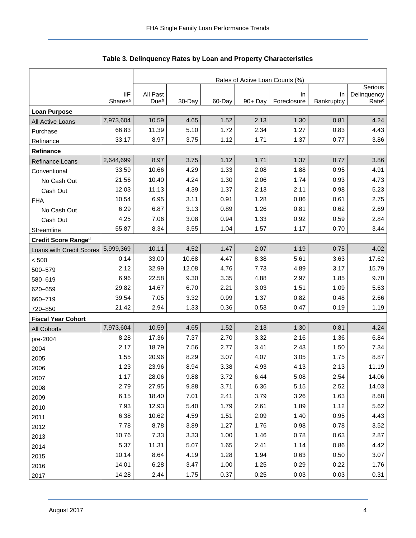<span id="page-4-0"></span>

|                           |                                   | Rates of Active Loan Counts (%) |        |        |         |                   |                  |                                  |  |  |
|---------------------------|-----------------------------------|---------------------------------|--------|--------|---------|-------------------|------------------|----------------------------------|--|--|
|                           |                                   |                                 |        |        |         |                   |                  | Serious                          |  |  |
|                           | <b>IIF</b><br>Shares <sup>a</sup> | All Past<br>Due <sup>b</sup>    | 30-Day | 60-Day | 90+ Day | In<br>Foreclosure | In<br>Bankruptcy | Delinquency<br>Rate <sup>c</sup> |  |  |
| <b>Loan Purpose</b>       |                                   |                                 |        |        |         |                   |                  |                                  |  |  |
| All Active Loans          | 7,973,604                         | 10.59                           | 4.65   | 1.52   | 2.13    | 1.30              | 0.81             | 4.24                             |  |  |
| Purchase                  | 66.83                             | 11.39                           | 5.10   | 1.72   | 2.34    | 1.27              | 0.83             | 4.43                             |  |  |
| Refinance                 | 33.17                             | 8.97                            | 3.75   | 1.12   | 1.71    | 1.37              | 0.77             | 3.86                             |  |  |
| Refinance                 |                                   |                                 |        |        |         |                   |                  |                                  |  |  |
| Refinance Loans           | 2,644,699                         | 8.97                            | 3.75   | 1.12   | 1.71    | 1.37              | 0.77             | 3.86                             |  |  |
| Conventional              | 33.59                             | 10.66                           | 4.29   | 1.33   | 2.08    | 1.88              | 0.95             | 4.91                             |  |  |
| No Cash Out               | 21.56                             | 10.40                           | 4.24   | 1.30   | 2.06    | 1.74              | 0.93             | 4.73                             |  |  |
| Cash Out                  | 12.03                             | 11.13                           | 4.39   | 1.37   | 2.13    | 2.11              | 0.98             | 5.23                             |  |  |
| <b>FHA</b>                | 10.54                             | 6.95                            | 3.11   | 0.91   | 1.28    | 0.86              | 0.61             | 2.75                             |  |  |
| No Cash Out               | 6.29                              | 6.87                            | 3.13   | 0.89   | 1.26    | 0.81              | 0.62             | 2.69                             |  |  |
| Cash Out                  | 4.25                              | 7.06                            | 3.08   | 0.94   | 1.33    | 0.92              | 0.59             | 2.84                             |  |  |
| Streamline                | 55.87                             | 8.34                            | 3.55   | 1.04   | 1.57    | 1.17              | 0.70             | 3.44                             |  |  |
| Credit Score Ranged       |                                   |                                 |        |        |         |                   |                  |                                  |  |  |
| Loans with Credit Scores  | 5,999,369                         | 10.11                           | 4.52   | 1.47   | 2.07    | 1.19              | 0.75             | 4.02                             |  |  |
| < 500                     | 0.14                              | 33.00                           | 10.68  | 4.47   | 8.38    | 5.61              | 3.63             | 17.62                            |  |  |
| 500-579                   | 2.12                              | 32.99                           | 12.08  | 4.76   | 7.73    | 4.89              | 3.17             | 15.79                            |  |  |
| 580-619                   | 6.96                              | 22.58                           | 9.30   | 3.35   | 4.88    | 2.97              | 1.85             | 9.70                             |  |  |
| 620-659                   | 29.82                             | 14.67                           | 6.70   | 2.21   | 3.03    | 1.51              | 1.09             | 5.63                             |  |  |
| 660-719                   | 39.54                             | 7.05                            | 3.32   | 0.99   | 1.37    | 0.82              | 0.48             | 2.66                             |  |  |
| 720-850                   | 21.42                             | 2.94                            | 1.33   | 0.36   | 0.53    | 0.47              | 0.19             | 1.19                             |  |  |
| <b>Fiscal Year Cohort</b> |                                   |                                 |        |        |         |                   |                  |                                  |  |  |
| <b>All Cohorts</b>        | 7,973,604                         | 10.59                           | 4.65   | 1.52   | 2.13    | 1.30              | 0.81             | 4.24                             |  |  |
| pre-2004                  | 8.28                              | 17.36                           | 7.37   | 2.70   | 3.32    | 2.16              | 1.36             | 6.84                             |  |  |
| 2004                      | 2.17                              | 18.79                           | 7.56   | 2.77   | 3.41    | 2.43              | 1.50             | 7.34                             |  |  |
| 2005                      | 1.55                              | 20.96                           | 8.29   | 3.07   | 4.07    | 3.05              | 1.75             | 8.87                             |  |  |
| 2006                      | 1.23                              | 23.96                           | 8.94   | 3.38   | 4.93    | 4.13              | 2.13             | 11.19                            |  |  |
| 2007                      | 1.17                              | 28.06                           | 9.88   | 3.72   | 6.44    | 5.08              | 2.54             | 14.06                            |  |  |
| 2008                      | 2.79                              | 27.95                           | 9.88   | 3.71   | 6.36    | 5.15              | 2.52             | 14.03                            |  |  |
| 2009                      | 6.15                              | 18.40                           | 7.01   | 2.41   | 3.79    | 3.26              | 1.63             | 8.68                             |  |  |
| 2010                      | 7.93                              | 12.93                           | 5.40   | 1.79   | 2.61    | 1.89              | 1.12             | 5.62                             |  |  |
| 2011                      | 6.38                              | 10.62                           | 4.59   | 1.51   | 2.09    | 1.40              | 0.95             | 4.43                             |  |  |
| 2012                      | 7.78                              | 8.78                            | 3.89   | 1.27   | 1.76    | 0.98              | 0.78             | 3.52                             |  |  |
| 2013                      | 10.76                             | 7.33                            | 3.33   | 1.00   | 1.46    | 0.78              | 0.63             | 2.87                             |  |  |
| 2014                      | 5.37                              | 11.31                           | 5.07   | 1.65   | 2.41    | 1.14              | 0.86             | 4.42                             |  |  |
| 2015                      | 10.14                             | 8.64                            | 4.19   | 1.28   | 1.94    | 0.63              | 0.50             | 3.07                             |  |  |
| 2016                      | 14.01                             | 6.28                            | 3.47   | 1.00   | 1.25    | 0.29              | 0.22             | 1.76                             |  |  |
| 2017                      | 14.28                             | 2.44                            | 1.75   | 0.37   | 0.25    | 0.03              | 0.03             | 0.31                             |  |  |

| Table 3. Delinquency Rates by Loan and Property Characteristics |  |  |  |  |
|-----------------------------------------------------------------|--|--|--|--|
|-----------------------------------------------------------------|--|--|--|--|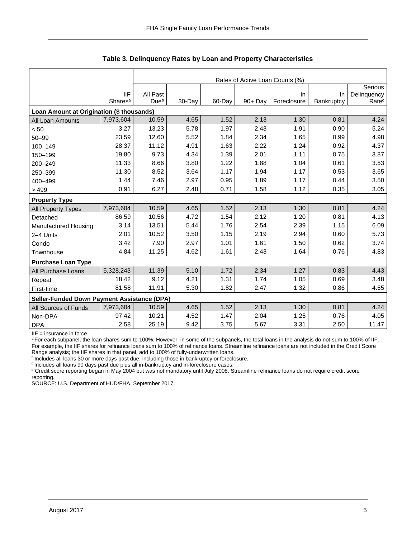|                                             |                     | Rates of Active Loan Counts (%) |        |        |            |             |            |                   |  |  |
|---------------------------------------------|---------------------|---------------------------------|--------|--------|------------|-------------|------------|-------------------|--|--|
|                                             |                     |                                 |        |        |            |             |            | Serious           |  |  |
|                                             | <b>IIF</b>          | All Past                        |        |        |            | In          | $\ln$      | Delinquency       |  |  |
|                                             | Shares <sup>a</sup> | Due <sup>b</sup>                | 30-Day | 60-Day | $90 + Day$ | Foreclosure | Bankruptcy | Rate <sup>c</sup> |  |  |
| Loan Amount at Origination (\$ thousands)   |                     |                                 |        |        |            |             |            |                   |  |  |
| All Loan Amounts                            | 7,973,604           | 10.59                           | 4.65   | 1.52   | 2.13       | 1.30        | 0.81       | 4.24              |  |  |
| < 50                                        | 3.27                | 13.23                           | 5.78   | 1.97   | 2.43       | 1.91        | 0.90       | 5.24              |  |  |
| $50 - 99$                                   | 23.59               | 12.60                           | 5.52   | 1.84   | 2.34       | 1.65        | 0.99       | 4.98              |  |  |
| 100-149                                     | 28.37               | 11.12                           | 4.91   | 1.63   | 2.22       | 1.24        | 0.92       | 4.37              |  |  |
| 150-199                                     | 19.80               | 9.73                            | 4.34   | 1.39   | 2.01       | 1.11        | 0.75       | 3.87              |  |  |
| 200-249                                     | 11.33               | 8.66                            | 3.80   | 1.22   | 1.88       | 1.04        | 0.61       | 3.53              |  |  |
| 250-399                                     | 11.30               | 8.52                            | 3.64   | 1.17   | 1.94       | 1.17        | 0.53       | 3.65              |  |  |
| 400-499                                     | 1.44                | 7.46                            | 2.97   | 0.95   | 1.89       | 1.17        | 0.44       | 3.50              |  |  |
| >499                                        | 0.91                | 6.27                            | 2.48   | 0.71   | 1.58       | 1.12        | 0.35       | 3.05              |  |  |
| <b>Property Type</b>                        |                     |                                 |        |        |            |             |            |                   |  |  |
| All Property Types                          | 7,973,604           | 10.59                           | 4.65   | 1.52   | 2.13       | 1.30        | 0.81       | 4.24              |  |  |
| Detached                                    | 86.59               | 10.56                           | 4.72   | 1.54   | 2.12       | 1.20        | 0.81       | 4.13              |  |  |
| Manufactured Housing                        | 3.14                | 13.51                           | 5.44   | 1.76   | 2.54       | 2.39        | 1.15       | 6.09              |  |  |
| 2-4 Units                                   | 2.01                | 10.52                           | 3.50   | 1.15   | 2.19       | 2.94        | 0.60       | 5.73              |  |  |
| Condo                                       | 3.42                | 7.90                            | 2.97   | 1.01   | 1.61       | 1.50        | 0.62       | 3.74              |  |  |
| Townhouse                                   | 4.84                | 11.25                           | 4.62   | 1.61   | 2.43       | 1.64        | 0.76       | 4.83              |  |  |
| <b>Purchase Loan Type</b>                   |                     |                                 |        |        |            |             |            |                   |  |  |
| All Purchase Loans                          | 5,328,243           | 11.39                           | 5.10   | 1.72   | 2.34       | 1.27        | 0.83       | 4.43              |  |  |
| Repeat                                      | 18.42               | 9.12                            | 4.21   | 1.31   | 1.74       | 1.05        | 0.69       | 3.48              |  |  |
| First-time                                  | 81.58               | 11.91                           | 5.30   | 1.82   | 2.47       | 1.32        | 0.86       | 4.65              |  |  |
| Seller-Funded Down Payment Assistance (DPA) |                     |                                 |        |        |            |             |            |                   |  |  |
| All Sources of Funds                        | 7,973,604           | 10.59                           | 4.65   | 1.52   | 2.13       | 1.30        | 0.81       | 4.24              |  |  |
| Non-DPA                                     | 97.42               | 10.21                           | 4.52   | 1.47   | 2.04       | 1.25        | 0.76       | 4.05              |  |  |
| <b>DPA</b>                                  | 2.58                | 25.19                           | 9.42   | 3.75   | 5.67       | 3.31        | 2.50       | 11.47             |  |  |

**Table 3. Delinquency Rates by Loan and Property Characteristics**

IIF = insurance in force.

<sup>a</sup> For each subpanel, the loan shares sum to 100%. However, in some of the subpanels, the total loans in the analysis do not sum to 100% of IIF. For example, the IIF shares for refinance loans sum to 100% of refinance loans. Streamline refinance loans are not included in the Credit Score Range analysis; the IIF shares in that panel, add to 100% of fully-underwritten loans.

**b** Includes all loans 30 or more days past due, including those in bankruptcy or foreclosure.

<sup>c</sup> Includes all loans 90 days past due plus all in-bankruptcy and in-foreclosure cases.

<sup>d</sup> Credit score reporting began in May 2004 but was not mandatory until July 2008. Streamline refinance loans do not require credit score reporting.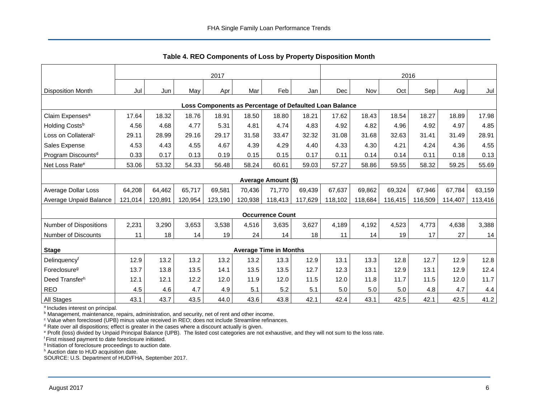<span id="page-6-0"></span>

|                                                         | 2017    |         |         |         |         |                               |         | 2016    |         |         |         |         |         |
|---------------------------------------------------------|---------|---------|---------|---------|---------|-------------------------------|---------|---------|---------|---------|---------|---------|---------|
| <b>Disposition Month</b>                                | Jul     | Jun     | May     | Apr     | Mar     | Feb                           | Jan     | Dec     | Nov     | Oct     | Sep     | Aug     | Jul     |
| Loss Components as Percentage of Defaulted Loan Balance |         |         |         |         |         |                               |         |         |         |         |         |         |         |
| Claim Expenses <sup>a</sup>                             | 17.64   | 18.32   | 18.76   | 18.91   | 18.50   | 18.80                         | 18.21   | 17.62   | 18.43   | 18.54   | 18.27   | 18.89   | 17.98   |
| Holding Costsb                                          | 4.56    | 4.68    | 4.77    | 5.31    | 4.81    | 4.74                          | 4.83    | 4.92    | 4.82    | 4.96    | 4.92    | 4.97    | 4.85    |
| Loss on Collateral <sup>c</sup>                         | 29.11   | 28.99   | 29.16   | 29.17   | 31.58   | 33.47                         | 32.32   | 31.08   | 31.68   | 32.63   | 31.41   | 31.49   | 28.91   |
| Sales Expense                                           | 4.53    | 4.43    | 4.55    | 4.67    | 4.39    | 4.29                          | 4.40    | 4.33    | 4.30    | 4.21    | 4.24    | 4.36    | 4.55    |
| Program Discounts <sup>d</sup>                          | 0.33    | 0.17    | 0.13    | 0.19    | 0.15    | 0.15                          | 0.17    | 0.11    | 0.14    | 0.14    | 0.11    | 0.18    | 0.13    |
| Net Loss Rate <sup>e</sup>                              | 53.06   | 53.32   | 54.33   | 56.48   | 58.24   | 60.61                         | 59.03   | 57.27   | 58.86   | 59.55   | 58.32   | 59.25   | 55.69   |
|                                                         |         |         |         |         |         | Average Amount (\$)           |         |         |         |         |         |         |         |
| Average Dollar Loss                                     | 64,208  | 64,462  | 65,717  | 69,581  | 70,436  | 71,770                        | 69,439  | 67,637  | 69,862  | 69,324  | 67,946  | 67,784  | 63,159  |
| Average Unpaid Balance                                  | 121,014 | 120,891 | 120,954 | 123,190 | 120,938 | 118,413                       | 117,629 | 118,102 | 118,684 | 116,415 | 116,509 | 114,407 | 113,416 |
|                                                         |         |         |         |         |         | <b>Occurrence Count</b>       |         |         |         |         |         |         |         |
| <b>Number of Dispositions</b>                           | 2,231   | 3,290   | 3,653   | 3,538   | 4,516   | 3,635                         | 3,627   | 4,189   | 4,192   | 4,523   | 4,773   | 4,638   | 3,388   |
| <b>Number of Discounts</b>                              | 11      | 18      | 14      | 19      | 24      | 14                            | 18      | 11      | 14      | 19      | 17      | 27      | 14      |
| <b>Stage</b>                                            |         |         |         |         |         | <b>Average Time in Months</b> |         |         |         |         |         |         |         |
| Delinquency <sup>f</sup>                                | 12.9    | 13.2    | 13.2    | 13.2    | 13.2    | 13.3                          | 12.9    | 13.1    | 13.3    | 12.8    | 12.7    | 12.9    | 12.8    |
| Foreclosure <sup>g</sup>                                | 13.7    | 13.8    | 13.5    | 14.1    | 13.5    | 13.5                          | 12.7    | 12.3    | 13.1    | 12.9    | 13.1    | 12.9    | 12.4    |
| Deed Transferh                                          | 12.1    | 12.1    | 12.2    | 12.0    | 11.9    | 12.0                          | 11.5    | 12.0    | 11.8    | 11.7    | 11.5    | 12.0    | 11.7    |
| <b>REO</b>                                              | 4.5     | 4.6     | 4.7     | 4.9     | 5.1     | 5.2                           | 5.1     | 5.0     | 5.0     | 5.0     | 4.8     | 4.7     | 4.4     |
| All Stages                                              | 43.1    | 43.7    | 43.5    | 44.0    | 43.6    | 43.8                          | 42.1    | 42.4    | 43.1    | 42.5    | 42.1    | 42.5    | 41.2    |

**Table 4. REO Components of Loss by Property Disposition Month**

<sup>a</sup> Includes interest on principal.

**b** Management, maintenance, repairs, administration, and security, net of rent and other income.

<sup>c</sup> Value when foreclosed (UPB) minus value received in REO; does not include Streamline refinances.

 $d$  Rate over all dispositions; effect is greater in the cases where a discount actually is given.

<sup>e</sup> Profit (loss) divided by Unpaid Principal Balance (UPB). The listed cost categories are not exhaustive, and they will not sum to the loss rate.

<sup>f</sup> First missed payment to date foreclosure initiated.

<sup>g</sup> Initiation of foreclosure proceedings to auction date.

h Auction date to HUD acquisition date.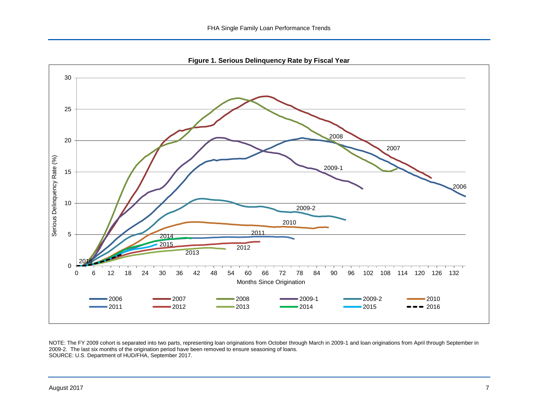**Figure 1. Serious Delinquency Rate by Fiscal Year**

<span id="page-7-0"></span>

NOTE: The FY 2009 cohort is separated into two parts, representing loan originations from October through March in 2009-1 and loan originations from April through September in 2009-2. The last six months of the origination period have been removed to ensure seasoning of loans. SOURCE: U.S. Department of HUD/FHA, September 2017.